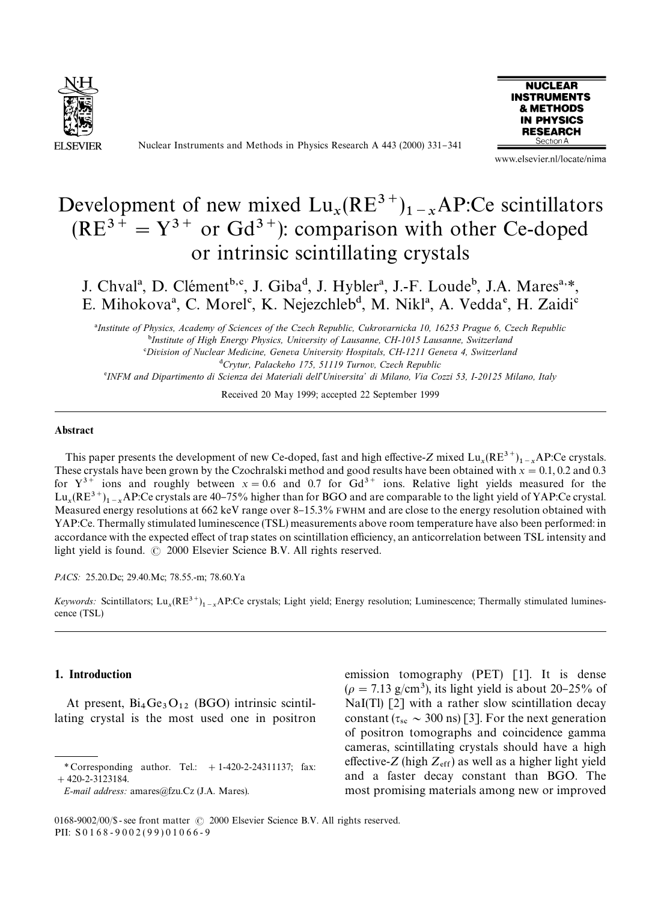

Nuclear Instruments and Methods in Physics Research A 443 (2000) 331-341



www.elsevier.nl/locate/nima

# Development of new mixed  $Lu_x(RE^{3+})_{1-x}AP$ :Ce scintillators  $(RE^{3+} = Y^{3+}$  or  $Gd^{3+}$ ): comparison with other Ce-doped or intrinsic scintillating crystals

J. Chval<sup>a</sup>, D. Clément<sup>b,c</sup>, J. Giba<sup>d</sup>, J. Hybler<sup>a</sup>, J.-F. Loude<sup>b</sup>, J.A. Mares<sup>a,\*</sup>, E. Mihokova<sup>a</sup>, C. Morel<sup>c</sup>, K. Nejezchleb<sup>d</sup>, M. Nikl<sup>a</sup>, A. Vedda<sup>e</sup>, H. Zaidi<sup>c</sup>

!*Institute of Physics, Academy of Sciences of the Czech Republic, Cukrovarnicka 10, 16253 Prague 6, Czech Republic* "*Institute of High Energy Physics, University of Lausanne, CH-1015 Lausanne, Switzerland* #*Division of Nuclear Medicine, Geneva University Hospitals, CH-1211 Geneva 4, Switzerland* \$*Crytur, Palackeho 175, 51119 Turnov, Czech Republic*

%*INFM and Dipartimento di Scienza dei Materiali dell*'*Universita*+ *di Milano, Via Cozzi 53, I-20125 Milano, Italy*

Received 20 May 1999; accepted 22 September 1999

### Abstract

This paper presents the development of new Ce-doped, fast and high effective-*Z* mixed  $Lu_x(RE^{3+})_{1-x}AP$ :Ce crystals. This paper presents the development of new Ce-doped, last and high elective-Z mixed  $\text{Lu}_x(\text{KE}^*)_{1-x}$ AP:Ce crystals.<br>These crystals have been grown by the Czochralski method and good results have been obtained with  $x =$ for  $Y^{3+}$  ions and roughly between  $x = 0.6$  and 0.7 for  $Gd^{3+}$  ions. Relative light yields measured for the  $\text{Lu}_x(\text{RE}^{3+})_{1-x}$  AP:Ce crystals are 40–75% higher than for BGO and are comparable to the light yield of YAP:Ce crystal. Measured energy resolutions at 662 keV range over 8–15.3% FWHM and are close to the energy resolution obtained with YAP:Ce. Thermally stimulated luminescence (TSL) measurements above room temperature have also been performed: in accordance with the expected effect of trap states on scintillation efficiency, an anticorrelation between TSL intensity and light yield is found.  $\odot$  2000 Elsevier Science B.V. All rights reserved.

*PACS:* 25.20.Dc; 29.40.Mc; 78.55.-m; 78.60.Ya

*Keywords*: Scintillators;  $\text{Lu}_x(\text{RE}^{3+})_{1-x}$  AP:Ce crystals; Light yield; Energy resolution; Luminescence; Thermally stimulated luminescence (TSL)

# 1. Introduction

At present,  $Bi_4Ge_3O_{12}$  (BGO) intrinsic scintillating crystal is the most used one in positron emission tomography (PET) [1]. It is dense  $(\rho = 7.13 \text{ g/cm}^3)$ , its light yield is about 20–25% of NaI(Tl) [2] with a rather slow scintillation decay constant ( $\tau_{\rm sc} \sim 300$  ns) [3]. For the next generation of positron tomographs and coincidence gamma cameras, scintillating crystals should have a high effective- $Z$  (high  $Z_{\text{eff}}$ ) as well as a higher light yield and a faster decay constant than BGO. The most promising materials among new or improved

*<sup>\*</sup>* Corresponding author. Tel.: #1-420-2-24311137; fax:  $+420 - 2 - 3123184.$ 

*E-mail address:* amares@fzu.Cz (J.A. Mares).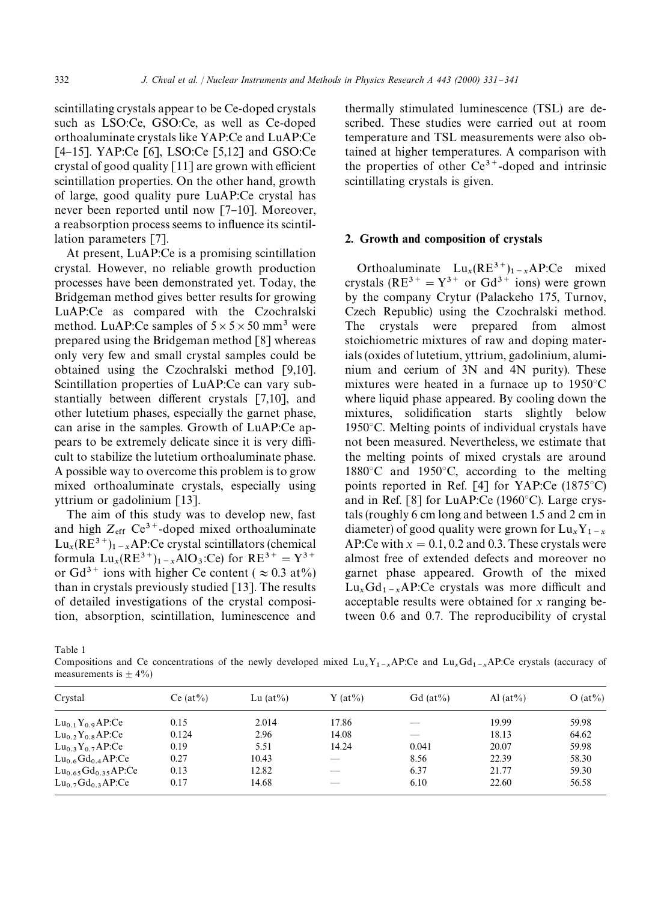scintillating crystals appear to be Ce-doped crystals such as LSO:Ce, GSO:Ce, as well as Ce-doped orthoaluminate crystals like YAP:Ce and LuAP:Ce [4-15]. YAP:Ce [6], LSO:Ce [5,12] and GSO:Ce crystal of good quality  $[11]$  are grown with efficient scintillation properties. On the other hand, growth of large, good quality pure LuAP:Ce crystal has never been reported until now  $[7-10]$ . Moreover, a reabsorption process seems to influence its scintillation parameters [7].

At present, LuAP:Ce is a promising scintillation crystal. However, no reliable growth production processes have been demonstrated yet. Today, the Bridgeman method gives better results for growing LuAP:Ce as compared with the Czochralski method. LuAP:Ce samples of  $5 \times 5 \times 50$  mm<sup>3</sup> were prepared using the Bridgeman method [8] whereas only very few and small crystal samples could be obtained using the Czochralski method [9,10]. Scintillation properties of LuAP:Ce can vary substantially between different crystals  $[7,10]$ , and other lutetium phases, especially the garnet phase, can arise in the samples. Growth of LuAP:Ce appears to be extremely delicate since it is very difficult to stabilize the lutetium orthoaluminate phase. A possible way to overcome this problem is to grow mixed orthoaluminate crystals, especially using yttrium or gadolinium [13].

The aim of this study was to develop new, fast and high  $Z_{\text{eff}}$  Ce<sup>3+</sup>-doped mixed orthoaluminate  $Lu_x(RE^{3+})_{1-x}AP$ :Ce crystal scintillators (chemical  $x({\rm RE}^{3})_{1-x}$ formula  $Lu_x(RE^{3+})_{1-x}AlO_3$ :Ce) for  $RE^{3+} = Y^{3+}$ or Gd<sup>3+</sup> ions with higher Ce content ( $\approx 0.3$  at%) than in crystals previously studied  $[13]$ . The results of detailed investigations of the crystal composition, absorption, scintillation, luminescence and

thermally stimulated luminescence (TSL) are described. These studies were carried out at room temperature and TSL measurements were also obtained at higher temperatures. A comparison with the properties of other  $Ce^{3}$ <sup>+</sup>-doped and intrinsic scintillating crystals is given.

# 2. Growth and composition of crystals

Orthoaluminate  $\text{Lu}_x(\text{RE}^{3+})_{1-x}$  AP:Ce mixed crystals (RE<sup>3+</sup> =  $Y^{3+}$  or Gd<sup>3+</sup> ions) were grown by the company Crytur (Palackeho 175, Turnov, Czech Republic) using the Czochralski method. The crystals were prepared from almost stoichiometric mixtures of raw and doping materials (oxides of lutetium, yttrium, gadolinium, aluminium and cerium of 3N and 4N purity). These mixtures were heated in a furnace up to  $1950^{\circ}$ C where liquid phase appeared. By cooling down the mixtures, solidification starts slightly below  $1950^{\circ}$ C. Melting points of individual crystals have not been measured. Nevertheless, we estimate that the melting points of mixed crystals are around 1880 $\degree$ C and 1950 $\degree$ C, according to the melting points reported in Ref.  $[4]$  for YAP:Ce (1875 $^{\circ}$ C) and in Ref. [8] for LuAP:Ce  $(1960^{\circ}C)$ . Large crystals (roughly 6 cm long and between 1.5 and 2 cm in diameter) of good quality were grown for  $Lu_xY_{1-x}$ diameter) of good quality were grown for  $Lu_x Y_{1-x}$ <br>AP:Ce with  $x = 0.1, 0.2$  and 0.3. These crystals were almost free of extended defects and moreover no garnet phase appeared. Growth of the mixed  $Lu_{x}Gd_{1-x}AP:Ce$  crystals was more difficult and acceptable results were obtained for *x* ranging between 0.6 and 0.7. The reproducibility of crystal

Table 1

Compositions and Ce concentrations of the newly developed mixed  $\text{Lu}_x\text{Y}_{1-x}$ AP:Ce and  $\text{Lu}_x\text{Gd}_{1-x}$ AP:Ce crystals (accuracy of measurements is  $\pm$  4%)

| Crystal                         | Ce $(at\%)$ | Lu $(at\%)$ | Y $(at\%)$ | Gd $(at\%)$ | Al $(at\%)$ | $O (at\%)$ |
|---------------------------------|-------------|-------------|------------|-------------|-------------|------------|
| $Lu_{0,1}Y_{0,9}AP:Ce$          | 0.15        | 2.014       | 17.86      |             | 19.99       | 59.98      |
| $Lu_0$ , $Y_0$ , $AP:Ce$        | 0.124       | 2.96        | 14.08      | __          | 18.13       | 64.62      |
| $Lu_0$ , $Y_0$ , $\Delta P$ :Ce | 0.19        | 5.51        | 14.24      | 0.041       | 20.07       | 59.98      |
| $Lu_{0.6}Gd_{0.4}AP:Ce$         | 0.27        | 10.43       |            | 8.56        | 22.39       | 58.30      |
| $Lu_{0.65}Gd_{0.35}AP:Ce$       | 0.13        | 12.82       |            | 6.37        | 21.77       | 59.30      |
| $Lu_0$ , $Gd_0$ , $AP:Ce$       | 0.17        | 14.68       |            | 6.10        | 22.60       | 56.58      |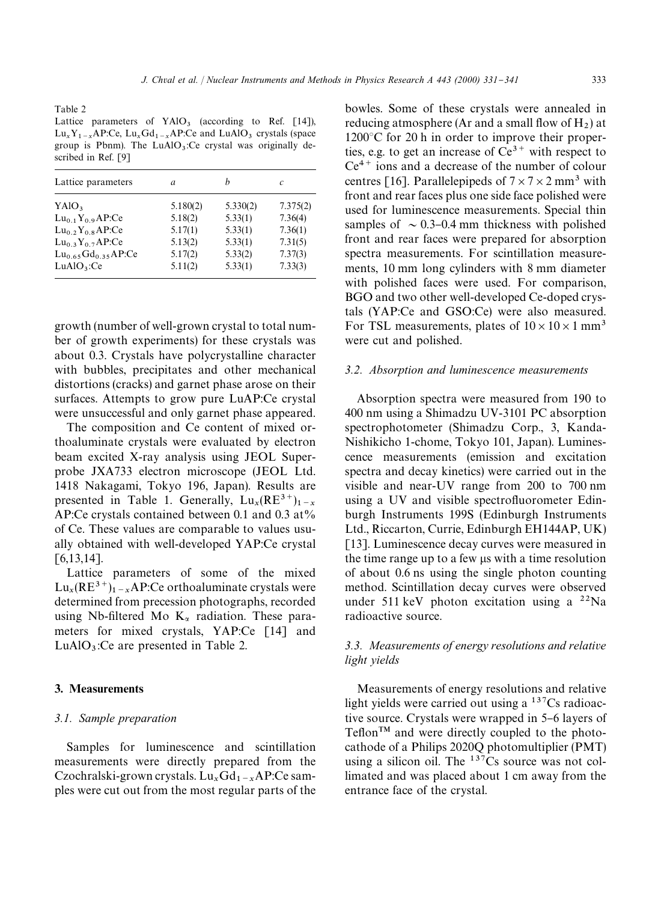Table 2

Lattice parameters of  $YAIO<sub>3</sub>$  (according to Ref. [14]),  $\text{Lu}_x\text{Y}_{1-x}\text{AP:Ce, } \text{Lu}_x\text{Gd}_{1-x}\text{AP:Ce and } \text{LuAlO}_3 \text{ crystals (space)}$ group is Pbnm). The  $LuAlO<sub>3</sub>:Ce$  crystal was originally described in Ref. [9]

| Lattice parameters        | a        | h        | C        |
|---------------------------|----------|----------|----------|
| YAIO <sub>3</sub>         | 5.180(2) | 5.330(2) | 7.375(2) |
| $Lu_{0,1}Y_{0,9}AP:Ce$    | 5.18(2)  | 5.33(1)  | 7.36(4)  |
| $Lu_0$ , $Y_0$ , $AP:Ce$  | 5.17(1)  | 5.33(1)  | 7.36(1)  |
| $Lu_0$ , $Y_0$ , $AP:Ce$  | 5.13(2)  | 5.33(1)  | 7.31(5)  |
| $Lu_{0.65}Gd_{0.35}AP:Ce$ | 5.17(2)  | 5.33(2)  | 7.37(3)  |
| LuAlO <sub>3</sub> :Ce    | 5.11(2)  | 5.33(1)  | 7.33(3)  |

growth (number of well-grown crystal to total number of growth experiments) for these crystals was about 0.3. Crystals have polycrystalline character with bubbles, precipitates and other mechanical distortions (cracks) and garnet phase arose on their surfaces. Attempts to grow pure LuAP:Ce crystal were unsuccessful and only garnet phase appeared.

The composition and Ce content of mixed orthoaluminate crystals were evaluated by electron beam excited X-ray analysis using JEOL Superprobe JXA733 electron microscope (JEOL Ltd. 1418 Nakagami, Tokyo 196, Japan). Results are presented in Table 1. Generally,  $Lu_x(RE^{3+})$ presented in Table 1. Generally,  $\text{Lu}_x(\text{KE}^{\circ})_{1-x}$ <br>AP:Ce crystals contained between 0.1 and 0.3 at% of Ce. These values are comparable to values usually obtained with well-developed YAP:Ce crystal [6,13,14].

Lattice parameters of some of the mixed  $\text{Lu}_x(\text{RE}^{3+})_{1-x}$ AP:Ce orthoaluminate crystals were determined from precession photographs, recorded using Nb-filtered Mo  $K_{\alpha}$  radiation. These parameters for mixed crystals, YAP:Ce [14] and  $LuAlO<sub>3</sub>:Ce$  are presented in Table 2.

#### 3. Measurements

# *3.1. Sample preparation*

Samples for luminescence and scintillation measurements were directly prepared from the Czochralski-grown crystals.  $Lu_xGd_{1-x}AP:Ce$  samples were cut out from the most regular parts of the

bowles. Some of these crystals were annealed in reducing atmosphere (Ar and a small flow of  $H_2$ ) at  $1200^{\circ}$ C for 20 h in order to improve their properties, e.g. to get an increase of  $Ce^{3+}$  with respect to  $Ce^{4+}$  ions and a decrease of the number of colour centres [16]. Parallelepipeds of  $7 \times 7 \times 2$  mm<sup>3</sup> with front and rear faces plus one side face polished were used for luminescence measurements. Special thin samples of  $\sim 0.3-0.4$  mm thickness with polished front and rear faces were prepared for absorption spectra measurements. For scintillation measurements, 10 mm long cylinders with 8 mm diameter with polished faces were used. For comparison, BGO and two other well-developed Ce-doped crystals (YAP:Ce and GSO:Ce) were also measured. For TSL measurements, plates of  $10 \times 10 \times 1$  mm<sup>3</sup> were cut and polished.

## *3.2. Absorption and luminescence measurements*

Absorption spectra were measured from 190 to 400 nm using a Shimadzu UV-3101 PC absorption spectrophotometer (Shimadzu Corp., 3, Kanda-Nishikicho 1-chome, Tokyo 101, Japan). Luminescence measurements (emission and excitation spectra and decay kinetics) were carried out in the visible and near-UV range from 200 to 700 nm using a UV and visible spectrofluorometer Edinburgh Instruments 199S (Edinburgh Instruments Ltd., Riccarton, Currie, Edinburgh EH144AP, UK) [13]. Luminescence decay curves were measured in the time range up to a few ls with a time resolution of about 0.6 ns using the single photon counting method. Scintillation decay curves were observed under 511 keV photon excitation using a  $^{22}$ Na radioactive source.

# *3.3. Measurements of energy resolutions and relative light yields*

Measurements of energy resolutions and relative light yields were carried out using a <sup>137</sup>Cs radioactive source. Crystals were wrapped in 5–6 layers of  $Teflon^{TM}$  and were directly coupled to the photocathode of a Philips 2020Q photomultiplier (PMT) using a silicon oil. The  $137Cs$  source was not collimated and was placed about 1 cm away from the entrance face of the crystal.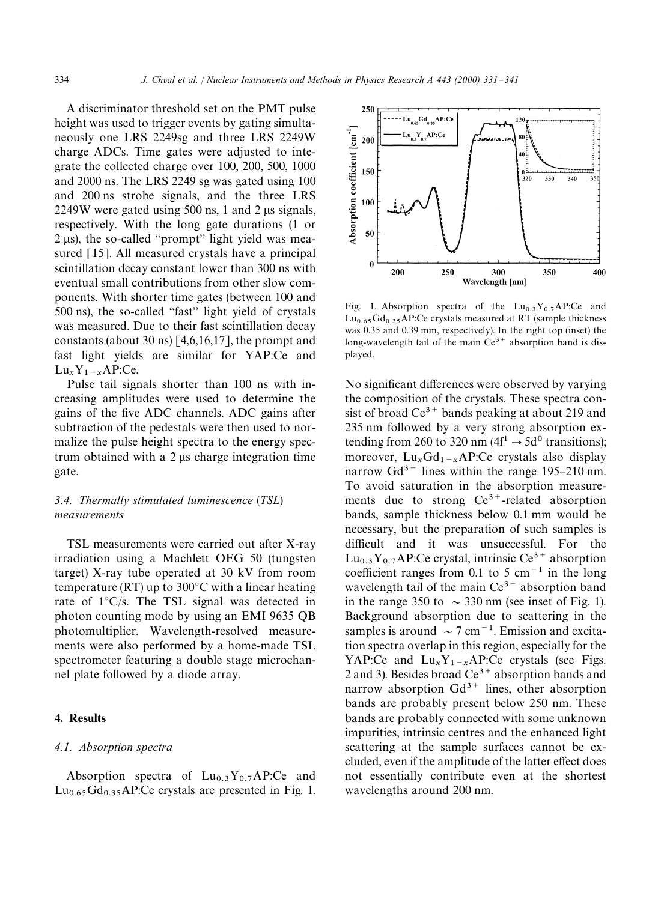A discriminator threshold set on the PMT pulse height was used to trigger events by gating simultaneously one LRS 2249sg and three LRS 2249W charge ADCs. Time gates were adjusted to integrate the collected charge over 100, 200, 500, 1000 and 2000 ns. The LRS 2249 sg was gated using 100 and 200 ns strobe signals, and the three LRS  $2249W$  were gated using 500 ns, 1 and 2 µs signals, respectively. With the long gate durations (1 or  $2 \mu s$ ), the so-called "prompt" light yield was measured [15]. All measured crystals have a principal scintillation decay constant lower than 300 ns with eventual small contributions from other slow components. With shorter time gates (between 100 and  $500$  ns), the so-called "fast" light yield of crystals was measured. Due to their fast scintillation decay constants (about 30 ns) [4,6,16,17], the prompt and fast light yields are similar for YAP:Ce and  $Lu_x Y_1 - xAP:Ce.$ 

 Pulse tail signals shorter than 100 ns with increasing amplitudes were used to determine the gains of the five ADC channels. ADC gains after subtraction of the pedestals were then used to normalize the pulse height spectra to the energy spectrum obtained with a  $2 \mu s$  charge integration time gate.

# *3.4. Thermally stimulated luminescence* (*TSL*) *measurements*

TSL measurements were carried out after X-ray irradiation using a Machlett OEG 50 (tungsten target) X-ray tube operated at 30 kV from room temperature (RT) up to  $300^{\circ}$ C with a linear heating rate of  $1^{\circ}$ C/s. The TSL signal was detected in photon counting mode by using an EMI 9635 QB photomultiplier. Wavelength-resolved measurements were also performed by a home-made TSL spectrometer featuring a double stage microchannel plate followed by a diode array.

# 4. Results

#### *4.1. Absorption spectra*

Absorption spectra of  $Lu_{0.3}Y_{0.7}AP$ :Ce and  $Lu_{0.65}Gd_{0.35}AP$ : Ce crystals are presented in Fig. 1.



Fig. 1. Absorption spectra of the  $Lu_{0,3}Y_{0,7}AP:Ce$  and  $Lu_{0.65}Gd_{0.35}AP$ :Ce crystals measured at RT (sample thickness was 0.35 and 0.39 mm, respectively). In the right top (inset) the long-wavelength tail of the main  $Ce^{3+}$  absorption band is displayed.

No significant differences were observed by varying the composition of the crystals. These spectra consist of broad  $Ce^{3+}$  bands peaking at about 219 and 235 nm followed by a very strong absorption extending from 260 to 320 nm  $(4f<sup>1</sup> \rightarrow 5d<sup>0</sup>$  transitions); moreover,  $\text{Lu}_x\text{Gd}_{1-x}\text{AP:Ce}$  crystals also display narrow  $Gd^{3+}$  lines within the range 195-210 nm. To avoid saturation in the absorption measurements due to strong  $Ce^{3+}$ -related absorption bands, sample thickness below 0.1 mm would be necessary, but the preparation of such samples is difficult and it was unsuccessful. For the  $Lu_{0.3}Y_{0.7}AP$ :Ce crystal, intrinsic Ce<sup>3+</sup> absorption coefficient ranges from 0.1 to 5 cm<sup> $-1$ </sup> in the long wavelength tail of the main  $Ce^{3+}$  absorption band in the range 350 to  $\sim$  330 nm (see inset of Fig. 1). Background absorption due to scattering in the samples is around  $\sim$  7 cm<sup>-1</sup>. Emission and excitation spectra overlap in this region, especially for the YAP:Ce and  $Lu_xY_{1-x}AP$ :Ce crystals (see Figs. 2 and 3). Besides broad  $Ce^{3+}$  absorption bands and narrow absorption  $Gd^{3+}$  lines, other absorption bands are probably present below 250 nm. These bands are probably connected with some unknown impurities, intrinsic centres and the enhanced light scattering at the sample surfaces cannot be excluded, even if the amplitude of the latter effect does not essentially contribute even at the shortest wavelengths around 200 nm.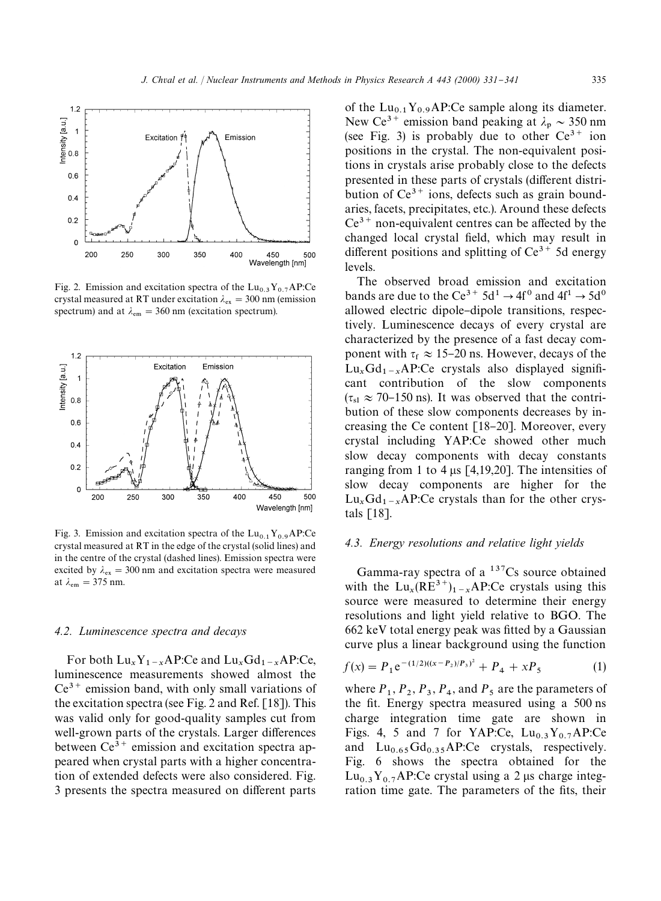

Fig. 2. Emission and excitation spectra of the  $Lu_{0,3}Y_{0,7}AP:Ce$ crystal measured at RT under excitation  $\lambda_{\text{ex}} = 300$  nm (emission spectrum) and at  $\lambda_{em} = 360$  nm (excitation spectrum).



Fig. 3. Emission and excitation spectra of the  $Lu_{0.1}Y_{0.9}AP:Ce$ crystal measured at RT in the edge of the crystal (solid lines) and in the centre of the crystal (dashed lines). Emission spectra were excited by  $\lambda_{\text{ex}} = 300 \text{ nm}$  and excitation spectra were measured at  $\lambda_{\rm em} = 375$  nm.

#### *4.2. Luminescence spectra and decays*

For both  $Lu_xY_1-xAP$ :Ce and  $Lu_xGd_1-xAP$ :Ce, luminescence measurements showed almost the  $Ce^{3+}$  emission band, with only small variations of the excitation spectra (see Fig. 2 and Ref. [18]). This was valid only for good-quality samples cut from well-grown parts of the crystals. Larger differences between  $Ce^{3+}$  emission and excitation spectra appeared when crystal parts with a higher concentration of extended defects were also considered. Fig. 3 presents the spectra measured on different parts

of the  $Lu_{0.1}Y_{0.9}AP$ :Ce sample along its diameter. New Ce<sup>3+</sup> emission band peaking at  $\lambda_p \sim 350$  nm (see Fig. 3) is probably due to other  $Ce^{3+}$  ion positions in the crystal. The non-equivalent positions in crystals arise probably close to the defects presented in these parts of crystals (different distribution of  $Ce^{3+}$  ions, defects such as grain boundaries, facets, precipitates, etc.). Around these defects  $Ce^{3+}$  non-equivalent centres can be affected by the changed local crystal field, which may result in different positions and splitting of  $Ce^{3+}$  5d energy levels.

The observed broad emission and excitation bands are due to the Ce<sup>3+</sup> 5d<sup>1</sup>  $\rightarrow$  4f<sup>0</sup> and 4f<sup>1</sup>  $\rightarrow$  5d<sup>0</sup> allowed electric dipole-dipole transitions, respectively. Luminescence decays of every crystal are characterized by the presence of a fast decay component with  $\tau_f \approx 15{\text -}20$  ns. However, decays of the  $Lu_{x}Gd_{1-x}AP:Ce$  crystals also displayed signifi cant contribution of the slow components  $(\tau_{\rm sl} \approx 70{\text -}150 \,\text{ns})$ . It was observed that the contribution of these slow components decreases by increasing the Ce content  $[18-20]$ . Moreover, every crystal including YAP:Ce showed other much slow decay components with decay constants ranging from 1 to 4  $\mu$ s [4,19,20]. The intensities of slow decay components are higher for the  $\text{Lu}_x\text{Gd}_{1-x}\text{AP:Ce crystals}$  than for the other crystals [18].

#### *4.3. Energy resolutions and relative light yields*

Gamma-ray spectra of a  $137Cs$  source obtained with the  $Lu_x(RE^{3+})_{1-x}AP$ :Ce crystals using this source were measured to determine their energy resolutions and light yield relative to BGO. The  $662$  keV total energy peak was fitted by a Gaussian curve plus a linear background using the function

$$
f(x) = P_1 e^{-(1/2)((x - P_2)/P_3)^2} + P_4 + xP_5 \tag{1}
$$

where  $P_1$ ,  $P_2$ ,  $P_3$ ,  $P_4$ , and  $P_5$  are the parameters of the fit. Energy spectra measured using a 500 ns charge integration time gate are shown in Figs. 4, 5 and 7 for YAP:Ce,  $Lu_{0.3}Y_{0.7}AP$ :Ce and  $Lu_{0.65}Gd_{0.35}AP:Ce$  crystals, respectively. Fig. 6 shows the spectra obtained for the  $Lu_{0,3}Y_{0,7}AP$ :Ce crystal using a 2 µs charge integration time gate. The parameters of the fits, their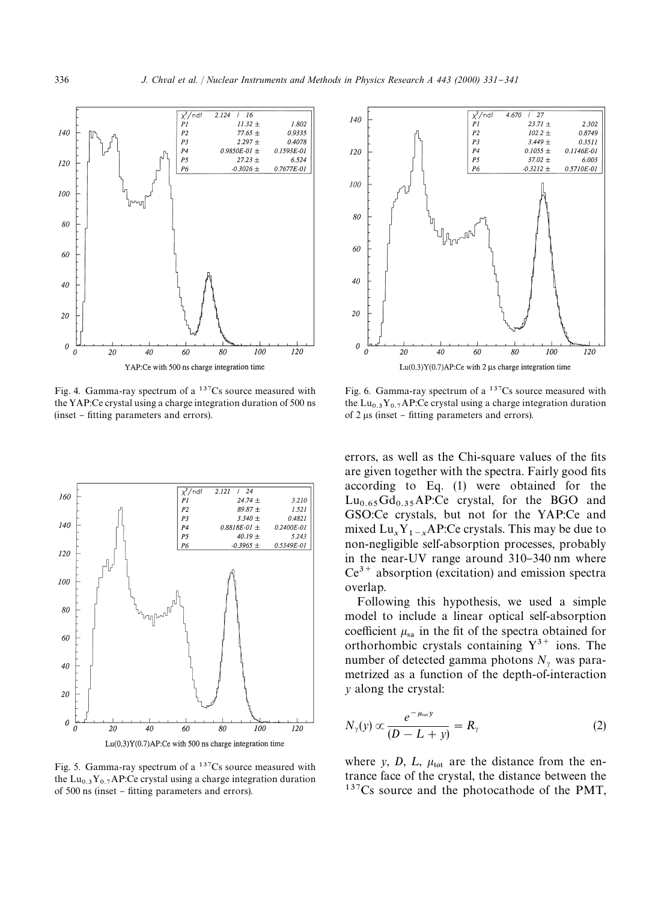

Fig. 4. Gamma-ray spectrum of a  $137Cs$  source measured with the YAP:Ce crystal using a charge integration duration of 500 ns (inset – fitting parameters and errors).







Fig. 6. Gamma-ray spectrum of a <sup>137</sup>Cs source measured with the Lu<sub>0.3</sub>Y<sub>0.7</sub>AP:Ce crystal using a charge integration duration of 2 us (inset  $-$  fitting parameters and errors).

errors, as well as the Chi-square values of the fits are given together with the spectra. Fairly good fits according to Eq. (1) were obtained for the  $Lu_{0.65}Gd_{0.35}AP:Ce$  crystal, for the BGO and GSO:Ce crystals, but not for the YAP:Ce and mixed  $\text{Lu}_x \text{Y}_{1-x} \text{AP:Ce crystals}$ . This may be due to non-negligible self-absorption processes, probably in the near-UV range around 310-340 nm where  $Ce^{3+}$  absorption (excitation) and emission spectra overlap.

Following this hypothesis, we used a simple model to include a linear optical self-absorption coefficient  $\mu_{sa}$  in the fit of the spectra obtained for orthorhombic crystals containing  $Y^{3+}$  ions. The number of detected gamma photons  $N_{\gamma}$  was parametrized as a function of the depth-of-interaction *y* along the crystal:

$$
N_{\gamma}(y) \propto \frac{e^{-\mu_{\text{tot}}y}}{(D-L+y)} = R_{\gamma}
$$
 (2)

where *y*, *D*, *L*,  $\mu_{\text{tot}}$  are the distance from the entrance face of the crystal, the distance between the <sup>137</sup>Cs source and the photocathode of the PMT,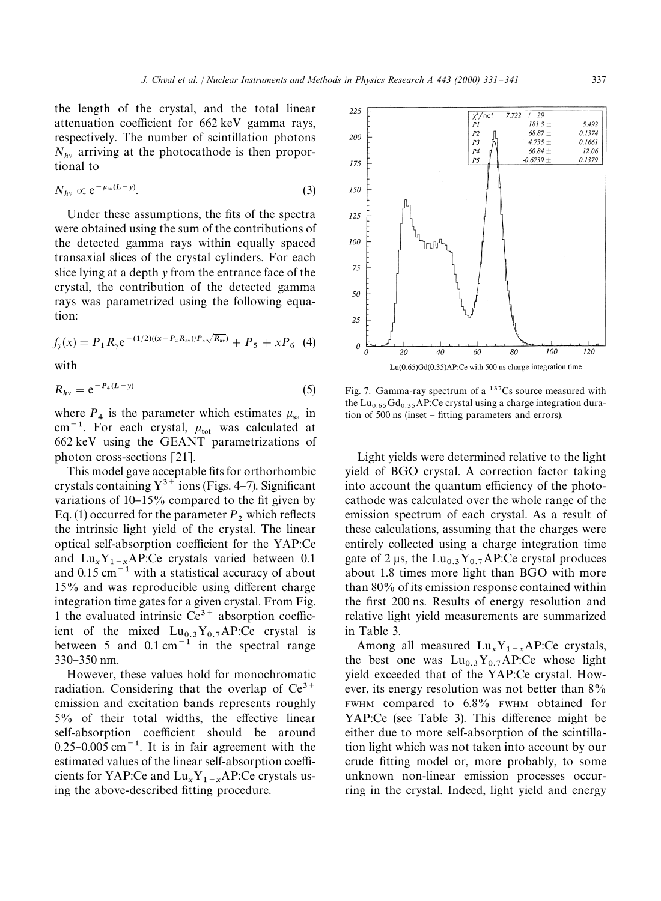the length of the crystal, and the total linear attenuation coefficient for 662 keV gamma rays, respectively. The number of scintillation photons  $N_{hv}$  arriving at the photocathode is then proportional to

$$
N_{hv} \propto e^{-\mu_{sa}(L-y)}.\tag{3}
$$

Under these assumptions, the fits of the spectra were obtained using the sum of the contributions of the detected gamma rays within equally spaced transaxial slices of the crystal cylinders. For each slice lying at a depth *y* from the entrance face of the crystal, the contribution of the detected gamma rays was parametrized using the following equation:

$$
f_{y}(x) = P_1 R_{\gamma} e^{-(1/2)((x - P_2 R_{hv})/P_3 \sqrt{R_{hv}})} + P_5 + x P_6
$$
 (4)

with

$$
R_{hv} = e^{-P_4(L-y)} \tag{5}
$$

where  $P_4$  is the parameter which estimates  $\mu_{sa}$  in  $\text{cm}^{-1}$ . For each crystal,  $\mu_{\text{tot}}$  was calculated at 662 keV using the GEANT parametrizations of photon cross-sections [21].

This model gave acceptable fits for orthorhombic crystals containing  $Y^{3+}$  ions (Figs. 4-7). Significant variations of  $10-15\%$  compared to the fit given by Eq. (1) occurred for the parameter  $P_2$  which reflects the intrinsic light yield of the crystal. The linear optical self-absorption coefficient for the YAP:Ce and  $\text{Lu}_x \text{Y}_{1-x} \text{AP:Ce crystals varied between } 0.1$ and  $0.15 \text{ cm}^{-1}$  with a statistical accuracy of about  $15%$  and was reproducible using different charge integration time gates for a given crystal. From Fig. 1 the evaluated intrinsic  $Ce^{3+}$  absorption coefficient of the mixed  $Lu_{0.3}Y_{0.7}AP:\stackrel{\frown}{C}e$  crystal is between 5 and  $0.1 \text{ cm}^{-1}$  in the spectral range 330-350 nm.

However, these values hold for monochromatic radiation. Considering that the overlap of  $Ce^{3+}$ emission and excitation bands represents roughly  $5\%$  of their total widths, the effective linear self-absorption coefficient should be around  $0.25$ – $0.005$  cm<sup>-1</sup>. It is in fair agreement with the estimated values of the linear self-absorption coefficients for YAP:Ce and  $\text{Lu}_x \text{Y}_{1-x}$ AP:Ce crystals using the above-described fitting procedure.



Fig. 7. Gamma-ray spectrum of a  $137Cs$  source measured with the Lu<sub>0.65</sub>Gd<sub>0.35</sub>AP:Ce crystal using a charge integration duration of 500 ns (inset – fitting parameters and errors).

Light yields were determined relative to the light yield of BGO crystal. A correction factor taking into account the quantum efficiency of the photocathode was calculated over the whole range of the emission spectrum of each crystal. As a result of these calculations, assuming that the charges were entirely collected using a charge integration time gate of 2  $\mu$ s, the Lu<sub>0.3</sub>Y<sub>0.7</sub>AP:Ce crystal produces about 1.8 times more light than BGO with more than 80% of its emission response contained within the first 200 ns. Results of energy resolution and relative light yield measurements are summarized in Table 3.

Among all measured  $\text{Lu}_x \text{Y}_{1-x} \text{AP:Ce crystals},$ the best one was  $\text{Lu}_{0.3}\text{Y}_{0.7}\text{AP:Ce}$  whose light yield exceeded that of the YAP:Ce crystal. However, its energy resolution was not better than 8% FWHM compared to 6.8% FWHM obtained for YAP:Ce (see Table 3). This difference might be either due to more self-absorption of the scintillation light which was not taken into account by our crude fitting model or, more probably, to some unknown non-linear emission processes occurring in the crystal. Indeed, light yield and energy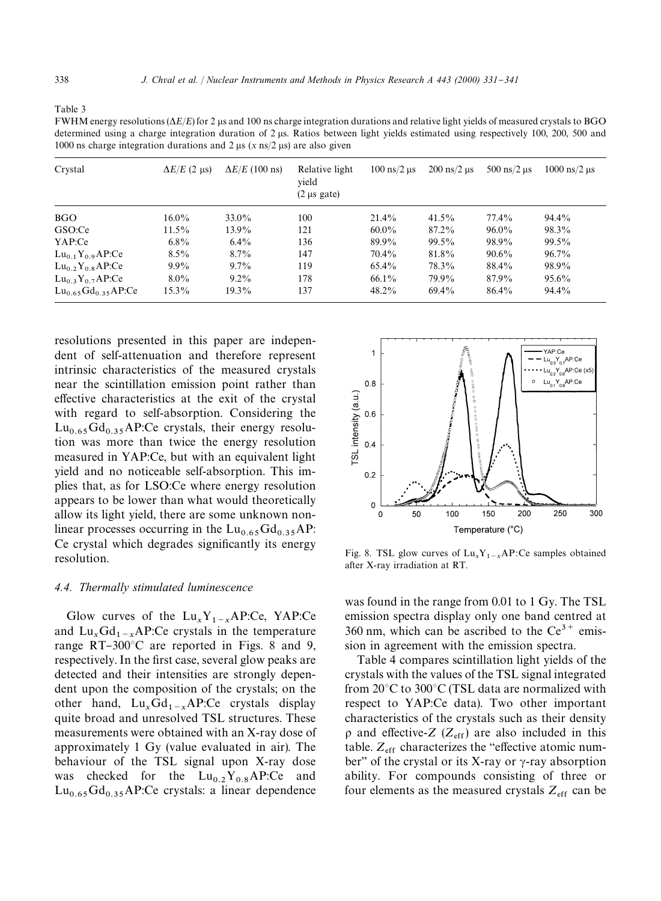| ucterningu using a charge integration utration or 2 µs. Katios between ngin vicius estimated using respectively 100, 200, 900 and<br>1000 ns charge integration durations and 2 $\mu$ s (x ns/2 $\mu$ s) are also given |                       |                                              |                               |                                  |                               |                                   |  |
|-------------------------------------------------------------------------------------------------------------------------------------------------------------------------------------------------------------------------|-----------------------|----------------------------------------------|-------------------------------|----------------------------------|-------------------------------|-----------------------------------|--|
| $\Delta E/E$ (2 µs)                                                                                                                                                                                                     | $\Delta E/E$ (100 ns) | Relative light<br>vield<br>$(2 \mu s)$ gate) | $100 \text{ ns}/2 \text{ µs}$ | $200 \text{ ns}/2 \text{ \mu s}$ | $500 \text{ ns}/2 \text{ µs}$ | $1000 \text{ ns}/2 \text{ \mu s}$ |  |
| $16.0\%$                                                                                                                                                                                                                | $33.0\%$              | 100                                          | $21.4\%$                      | $41.5\%$                         | 77.4%                         | 94.4%                             |  |
| $11.5\%$                                                                                                                                                                                                                | $13.9\%$              | 121                                          | $60.0\%$                      | $87.2\%$                         | $96.0\%$                      | 98.3%                             |  |
| $6.8\%$                                                                                                                                                                                                                 | $6.4\%$               | 136                                          | 89.9%                         | $99.5\%$                         | 98.9%                         | $99.5\%$                          |  |
| $8.5\%$                                                                                                                                                                                                                 | $8.7\%$               | 147                                          | $70.4\%$                      | 81.8%                            | $90.6\%$                      | $96.7\%$                          |  |
| $9.9\%$                                                                                                                                                                                                                 | $9.7\%$               | 119                                          | $65.4\%$                      | 78.3%                            | 88.4%                         | 98.9%                             |  |
| $8.0\%$                                                                                                                                                                                                                 | $9.2\%$               | 178                                          | 66.1%                         | 79.9%                            | 87.9%                         | $95.6\%$                          |  |
| 15.3%                                                                                                                                                                                                                   | 19.3%                 | 137                                          | $48.2\%$                      | $69.4\%$                         | 86.4%                         | 94.4%                             |  |
|                                                                                                                                                                                                                         |                       |                                              |                               |                                  |                               |                                   |  |

Table 3

 $FWHM$  energy resolutions  $(\Delta E/E)$  for 2 us and 100 ns charge integration durations and relative light yields of measured crystals to BGO determined using a charge integration duration of 2 ls. Ratios between light yields estimated using respectively 100, 200, 500 and

resolutions presented in this paper are independent of self-attenuation and therefore represent intrinsic characteristics of the measured crystals near the scintillation emission point rather than effective characteristics at the exit of the crystal with regard to self-absorption. Considering the  $Lu_{0.65}Gd_{0.35}AP:Ce$  crystals, their energy resolution was more than twice the energy resolution measured in YAP:Ce, but with an equivalent light yield and no noticeable self-absorption. This implies that, as for LSO:Ce where energy resolution appears to be lower than what would theoretically allow its light yield, there are some unknown nonlinear processes occurring in the  $Lu_{0.65}Gd_{0.35}AP$ : Ce crystal which degrades significantly its energy resolution.

## *4.4. Thermally stimulated luminescence*

Glow curves of the  $Lu_xY_{1-x}AP:Ce$ , YAP:Ce and  $\text{Lu}_x\text{Gd}_{1-x}\text{AP:Ce crystals in the temperature}$ range  $RT-300^{\circ}C$  are reported in Figs. 8 and 9, respectively. In the first case, several glow peaks are detected and their intensities are strongly dependent upon the composition of the crystals; on the other hand,  $Lu_xGd_{1-x}AP:Ce$  crystals display quite broad and unresolved TSL structures. These measurements were obtained with an X-ray dose of approximately 1 Gy (value evaluated in air). The behaviour of the TSL signal upon X-ray dose was checked for the  $Lu_{0,2}Y_{0,8}AP:Ce$  and  $Lu_{0.65}Gd_{0.35}AP$ :Ce crystals: a linear dependence



Fig. 8. TSL glow curves of  $\text{Lu}_x \text{Y}_{1-x} \text{AP:Ce samples obtained}$ after X-ray irradiation at RT.

was found in the range from 0.01 to 1 Gy. The TSL emission spectra display only one band centred at 360 nm, which can be ascribed to the  $Ce^{3+}$  emission in agreement with the emission spectra.

Table 4 compares scintillation light yields of the crystals with the values of the TSL signal integrated from  $20^{\circ}$ C to  $300^{\circ}$ C (TSL data are normalized with respect to YAP:Ce data). Two other important characteristics of the crystals such as their density  $\rho$  and effective-*Z* ( $Z_{\text{eff}}$ ) are also included in this table.  $Z_{\text{eff}}$  characterizes the "effective atomic number" of the crystal or its X-ray or  $\gamma$ -ray absorption ability. For compounds consisting of three or four elements as the measured crystals  $Z_{\text{eff}}$  can be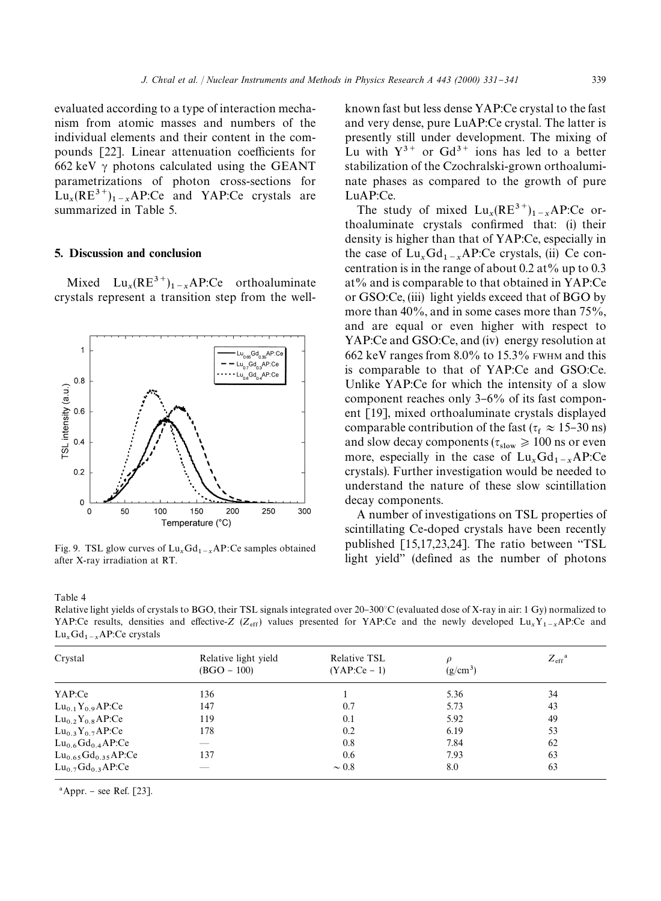evaluated according to a type of interaction mechanism from atomic masses and numbers of the individual elements and their content in the compounds [22]. Linear attenuation coefficients for 662 keV  $\gamma$  photons calculated using the GEANT parametrizations of photon cross-sections for  $\text{Lu}_x(\text{RE}^{3+})_{1-x}$  AP:Ce and YAP:Ce crystals are summarized in Table 5.

## 5. Discussion and conclusion

Mixed  $Lu_x(RE^{3+})_{1-x}AP:Ce$  orthoaluminate crystals represent a transition step from the well-



Fig. 9. TSL glow curves of  $Lu_xGd_{1-x}AP$ :Ce samples obtained after X-ray irradiation at RT.

Table 4

Relative light yields of crystals to BGO, their TSL signals integrated over  $20-300^{\circ}C$  (evaluated dose of X-ray in air: 1 Gy) normalized to YAP:Ce results, densities and effective-*Z* ( $Z_{\text{eff}}$ ) values presented for YAP:Ce and the newly developed  $\text{Lu}_x\text{Y}_{1-x}$ AP:Ce and  $\text{Lu}_x \text{Gd}_{1-x} \text{AP:Ce crystals}$ 

| Crystal                            | Relative light yield<br>$(BGO - 100)$ | Relative TSL<br>$(YAP:Ce-1)$ | 0<br>$(g/cm^3)$ | $Z_{\rm eff}$ <sup>a</sup> |
|------------------------------------|---------------------------------------|------------------------------|-----------------|----------------------------|
|                                    |                                       |                              |                 |                            |
| YAP:Ce                             | 136                                   |                              | 5.36            | 34                         |
| $Lu_{0.1}Y_{0.9}AP:Ce$             | 147                                   | 0.7                          | 5.73            | 43                         |
| $Lu_{0.2}Y_{0.8}AP:Ce$             | 119                                   | 0.1                          | 5.92            | 49                         |
| $Lu_{0.3}Y_{0.7}AP:Ce$             | 178                                   | 0.2                          | 6.19            | 53                         |
| $Lu_{0.6}Gd_{0.4}AP:Ce$            |                                       | 0.8                          | 7.84            | 62                         |
| $Lu_{0.65}Gd_{0.35}AP:Ce$          | 137                                   | 0.6                          | 7.93            | 63                         |
| $Lu_0$ <sub>7</sub> $Gd_0$ 3 AP:Ce | __                                    | $\sim 0.8$                   | 8.0             | 63                         |

 $^a$ Appr. – see Ref. [23].

known fast but less dense YAP:Ce crystal to the fast and very dense, pure LuAP:Ce crystal. The latter is presently still under development. The mixing of Lu with  $Y^{3+}$  or Gd<sup>3+</sup> ions has led to a better stabilization of the Czochralski-grown orthoaluminate phases as compared to the growth of pure LuAP:Ce.

The study of mixed  $\text{Lu}_x(\text{RE}^{3+})_{1-x}\text{AP:Ce}$  orthoaluminate crystals confirmed that: (i) their density is higher than that of YAP:Ce, especially in the case of  $\text{Lu}_x\text{Gd}_{1-x}\text{AP:Ce crystals}$ , (ii) Ce concentration is in the range of about 0.2 at % up to 0.3 at% and is comparable to that obtained in YAP:Ce or GSO:Ce, (iii) light yields exceed that of BGO by more than 40%, and in some cases more than 75%, and are equal or even higher with respect to YAP:Ce and GSO:Ce, and (iv) energy resolution at 662 keV ranges from 8.0% to 15.3% FWHM and this is comparable to that of YAP:Ce and GSO:Ce. Unlike YAP:Ce for which the intensity of a slow component reaches only  $3-6\%$  of its fast component [19], mixed orthoaluminate crystals displayed comparable contribution of the fast ( $\tau_f \approx 15{\text -}30 \text{ ns}}$ ) and slow decay components ( $\tau_{slow} \ge 100$  ns or even more, especially in the case of  $\text{Lu}_x\text{Gd}_{1-x}\text{AP:Ce}$  crystals). Further investigation would be needed to understand the nature of these slow scintillation decay components.

A number of investigations on TSL properties of scintillating Ce-doped crystals have been recently published  $[15,17,23,24]$ . The ratio between "TSL light yield" (defined as the number of photons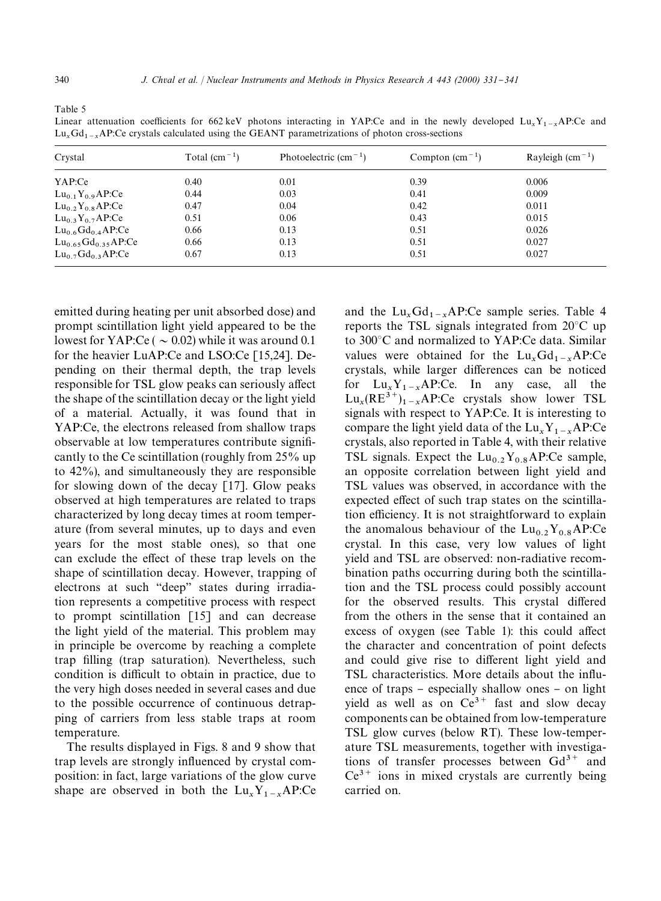Table 5

| Crystal                   | Total $\rm (cm^{-1})$ | Photoelectric $(cm-1)$ | Compton $\text{(cm}^{-1})$ | Rayleigh $\rm (cm^{-1})$ |
|---------------------------|-----------------------|------------------------|----------------------------|--------------------------|
| YAP:Ce                    | 0.40                  | 0.01                   | 0.39                       | 0.006                    |
| $Lu_{0.1}Y_{0.9}AP:Ce$    | 0.44                  | 0.03                   | 0.41                       | 0.009                    |
| $Lu_{0.2}Y_{0.8}AP:Ce$    | 0.47                  | 0.04                   | 0.42                       | 0.011                    |
| $Lu_{0.3}Y_{0.7}AP:Ce$    | 0.51                  | 0.06                   | 0.43                       | 0.015                    |
| $Lu_{0.6}Gd_{0.4}AP:Ce$   | 0.66                  | 0.13                   | 0.51                       | 0.026                    |
| $Lu_{0.65}Gd_{0.35}AP:Ce$ | 0.66                  | 0.13                   | 0.51                       | 0.027                    |
| $Lu_{0.7}Gd_{0.3}AP:Ce$   | 0.67                  | 0.13                   | 0.51                       | 0.027                    |

Linear attenuation coefficients for 662 keV photons interacting in YAP:Ce and in the newly developed  $\text{Lu}_x\text{Y}_{1-x}$ AP:Ce and  $\text{Lu}_x\text{Gd}_{1-x}\text{AP:Ce}$  crystals calculated using the GEANT parametrizations of photon cross-sections

emitted during heating per unit absorbed dose) and prompt scintillation light yield appeared to be the lowest for YAP:Ce ( $\sim$  0.02) while it was around 0.1 for the heavier LuAP:Ce and LSO:Ce [15,24]. Depending on their thermal depth, the trap levels responsible for TSL glow peaks can seriously affect the shape of the scintillation decay or the light yield of a material. Actually, it was found that in YAP:Ce, the electrons released from shallow traps observable at low temperatures contribute significantly to the Ce scintillation (roughly from 25% up to 42%), and simultaneously they are responsible for slowing down of the decay [17]. Glow peaks observed at high temperatures are related to traps characterized by long decay times at room temperature (from several minutes, up to days and even years for the most stable ones), so that one can exclude the effect of these trap levels on the shape of scintillation decay. However, trapping of electrons at such "deep" states during irradiation represents a competitive process with respect to prompt scintillation [15] and can decrease the light yield of the material. This problem may in principle be overcome by reaching a complete trap filling (trap saturation). Nevertheless, such condition is difficult to obtain in practice, due to the very high doses needed in several cases and due to the possible occurrence of continuous detrapping of carriers from less stable traps at room temperature.

The results displayed in Figs. 8 and 9 show that trap levels are strongly influenced by crystal composition: in fact, large variations of the glow curve shape are observed in both the  $Lu_xY_{1-x}AP:Ce$ 

and the  $\text{Lu}_x\text{Gd}_{1-x}\text{AP:Ce sample series.}$  Table 4 reports the TSL signals integrated from  $20^{\circ}$ C up to 300°C and normalized to YAP:Ce data. Similar values were obtained for the  $Lu_xGd_{1-x}AP:Ce$ crystals, while larger differences can be noticed for  $\text{Lu}_x \text{Y}_{1-x} \text{AP:Ce.}$  In any case, all the  $Lu_x(RE^{3+})_{1-x}$  AP:Ce crystals show lower TSL signals with respect to YAP:Ce. It is interesting to compare the light yield data of the  $\text{Lu}_x \text{Y}_{1-x} \text{AP:Ce}$  crystals, also reported in Table 4, with their relative TSL signals. Expect the  $Lu_{0.2}Y_{0.8}AP$ :Ce sample, an opposite correlation between light yield and TSL values was observed, in accordance with the expected effect of such trap states on the scintillation efficiency. It is not straightforward to explain the anomalous behaviour of the  $Lu_{0.2}Y_{0.8}AP:Ce$ crystal. In this case, very low values of light yield and TSL are observed: non-radiative recombination paths occurring during both the scintillation and the TSL process could possibly account for the observed results. This crystal differed from the others in the sense that it contained an excess of oxygen (see Table 1): this could affect the character and concentration of point defects and could give rise to different light yield and TSL characteristics. More details about the influence of traps  $-$  especially shallow ones  $-$  on light yield as well as on  $Ce^{3+}$  fast and slow decay components can be obtained from low-temperature TSL glow curves (below RT). These low-temperature TSL measurements, together with investigations of transfer processes between  $Gd^{3+}$  and  $Ce^{3+}$  ions in mixed crystals are currently being carried on.